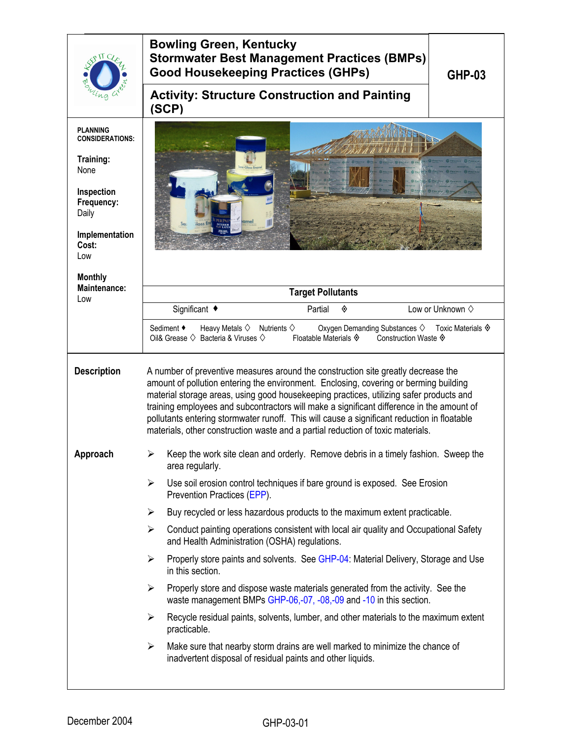| $.9$ M C                                                                                                                                                | <b>Bowling Green, Kentucky</b><br><b>Stormwater Best Management Practices (BMPs)</b><br><b>Good Housekeeping Practices (GHPs)</b><br>GHP-03                                                                                                                                                                                                                                                                                                                                                                                                          |  |  |  |
|---------------------------------------------------------------------------------------------------------------------------------------------------------|------------------------------------------------------------------------------------------------------------------------------------------------------------------------------------------------------------------------------------------------------------------------------------------------------------------------------------------------------------------------------------------------------------------------------------------------------------------------------------------------------------------------------------------------------|--|--|--|
|                                                                                                                                                         | <b>Activity: Structure Construction and Painting</b><br>(SCP)                                                                                                                                                                                                                                                                                                                                                                                                                                                                                        |  |  |  |
| <b>PLANNING</b><br><b>CONSIDERATIONS:</b><br>Training:<br>None<br>Inspection<br>Frequency:<br>Daily<br>Implementation<br>Cost:<br>Low<br><b>Monthly</b> | ame                                                                                                                                                                                                                                                                                                                                                                                                                                                                                                                                                  |  |  |  |
| Maintenance:<br>Low                                                                                                                                     | <b>Target Pollutants</b>                                                                                                                                                                                                                                                                                                                                                                                                                                                                                                                             |  |  |  |
|                                                                                                                                                         | Significant ◆<br>Low or Unknown $\diamond$<br>Partial<br>◈                                                                                                                                                                                                                                                                                                                                                                                                                                                                                           |  |  |  |
|                                                                                                                                                         | Sediment ◆<br>Heavy Metals $\diamond$ Nutrients $\diamond$<br>Oxygen Demanding Substances ♦ Toxic Materials ♦<br>Oil& Grease $\diamondsuit$ Bacteria & Viruses $\diamondsuit$<br>Floatable Materials $\hat{\mathbf{\Phi}}$<br>Construction Waste ♦                                                                                                                                                                                                                                                                                                   |  |  |  |
| <b>Description</b>                                                                                                                                      | A number of preventive measures around the construction site greatly decrease the<br>amount of pollution entering the environment. Enclosing, covering or berming building<br>material storage areas, using good housekeeping practices, utilizing safer products and<br>training employees and subcontractors will make a significant difference in the amount of<br>pollutants entering stormwater runoff. This will cause a significant reduction in floatable<br>materials, other construction waste and a partial reduction of toxic materials. |  |  |  |
| Approach                                                                                                                                                | Keep the work site clean and orderly. Remove debris in a timely fashion. Sweep the<br>➤<br>area regularly.                                                                                                                                                                                                                                                                                                                                                                                                                                           |  |  |  |
|                                                                                                                                                         | Use soil erosion control techniques if bare ground is exposed. See Erosion<br>➤<br>Prevention Practices (EPP).                                                                                                                                                                                                                                                                                                                                                                                                                                       |  |  |  |
|                                                                                                                                                         | Buy recycled or less hazardous products to the maximum extent practicable.<br>$\blacktriangleright$                                                                                                                                                                                                                                                                                                                                                                                                                                                  |  |  |  |
|                                                                                                                                                         | $\blacktriangleright$<br>Conduct painting operations consistent with local air quality and Occupational Safety<br>and Health Administration (OSHA) regulations.                                                                                                                                                                                                                                                                                                                                                                                      |  |  |  |
|                                                                                                                                                         | Properly store paints and solvents. See GHP-04: Material Delivery, Storage and Use<br>$\blacktriangleright$<br>in this section.                                                                                                                                                                                                                                                                                                                                                                                                                      |  |  |  |
|                                                                                                                                                         | Properly store and dispose waste materials generated from the activity. See the<br>➤<br>waste management BMPs GHP-06,-07, -08,-09 and -10 in this section.                                                                                                                                                                                                                                                                                                                                                                                           |  |  |  |
|                                                                                                                                                         | Recycle residual paints, solvents, lumber, and other materials to the maximum extent<br>➤<br>practicable.                                                                                                                                                                                                                                                                                                                                                                                                                                            |  |  |  |
|                                                                                                                                                         | Make sure that nearby storm drains are well marked to minimize the chance of<br>➤<br>inadvertent disposal of residual paints and other liquids.                                                                                                                                                                                                                                                                                                                                                                                                      |  |  |  |